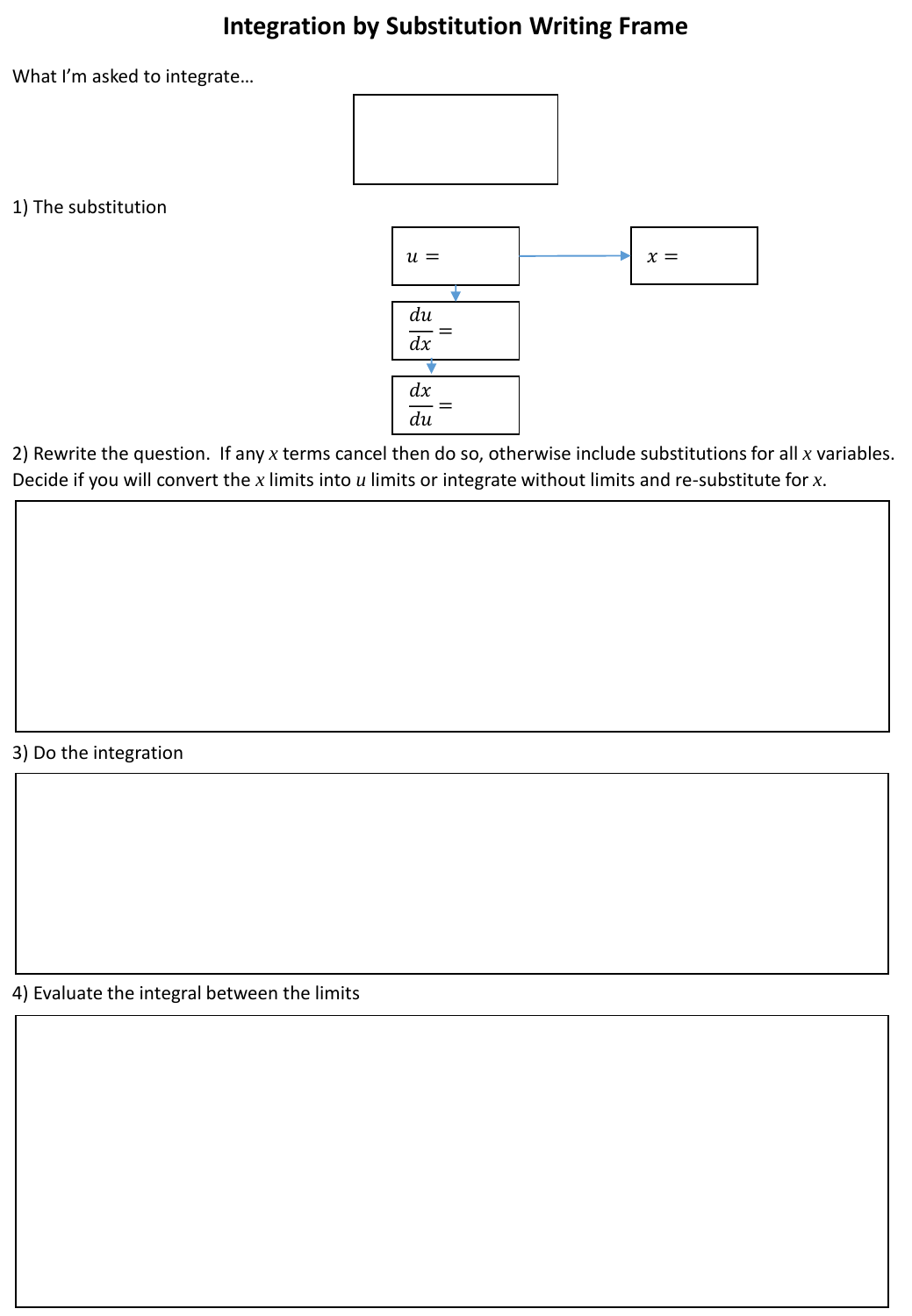## **Integration by Substitution Writing Frame**

What I'm asked to integrate…



1) The substitution



2) Rewrite the question. If any *x* terms cancel then do so, otherwise include substitutions for all *x* variables. Decide if you will convert the *x* limits into *u* limits or integrate without limits and re-substitute for *x*.

## 3) Do the integration

4) Evaluate the integral between the limits